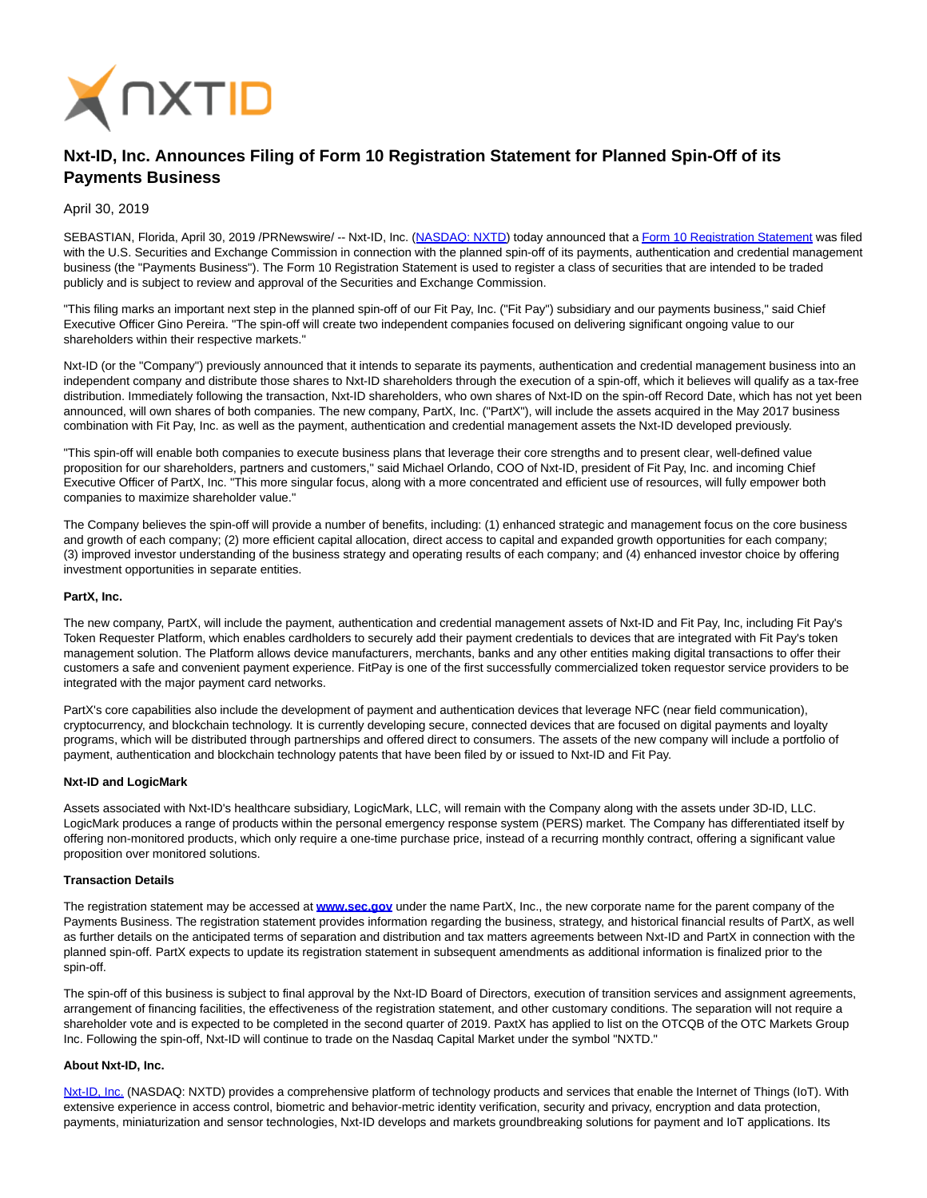

# **Nxt-ID, Inc. Announces Filing of Form 10 Registration Statement for Planned Spin-Off of its Payments Business**

# April 30, 2019

SEBASTIAN, Florida, April 30, 2019 /PRNewswire/ -- Nxt-ID, Inc. [\(NASDAQ: NXTD\)](https://finance.yahoo.com/quote/NXTD?p=NXTD&.tsrc=fin-srch) today announced that [a Form 10 Registration Statement w](https://www.sec.gov/cgi-bin/browse-edgar?company=partx&owner=exclude&action=getcompany)as filed with the U.S. Securities and Exchange Commission in connection with the planned spin-off of its payments, authentication and credential management business (the "Payments Business"). The Form 10 Registration Statement is used to register a class of securities that are intended to be traded publicly and is subject to review and approval of the Securities and Exchange Commission.

"This filing marks an important next step in the planned spin-off of our Fit Pay, Inc. ("Fit Pay") subsidiary and our payments business," said Chief Executive Officer Gino Pereira. "The spin-off will create two independent companies focused on delivering significant ongoing value to our shareholders within their respective markets."

Nxt-ID (or the "Company") previously announced that it intends to separate its payments, authentication and credential management business into an independent company and distribute those shares to Nxt-ID shareholders through the execution of a spin-off, which it believes will qualify as a tax-free distribution. Immediately following the transaction, Nxt-ID shareholders, who own shares of Nxt-ID on the spin-off Record Date, which has not yet been announced, will own shares of both companies. The new company, PartX, Inc. ("PartX"), will include the assets acquired in the May 2017 business combination with Fit Pay, Inc. as well as the payment, authentication and credential management assets the Nxt-ID developed previously.

"This spin-off will enable both companies to execute business plans that leverage their core strengths and to present clear, well-defined value proposition for our shareholders, partners and customers," said Michael Orlando, COO of Nxt-ID, president of Fit Pay, Inc. and incoming Chief Executive Officer of PartX, Inc. "This more singular focus, along with a more concentrated and efficient use of resources, will fully empower both companies to maximize shareholder value."

The Company believes the spin-off will provide a number of benefits, including: (1) enhanced strategic and management focus on the core business and growth of each company; (2) more efficient capital allocation, direct access to capital and expanded growth opportunities for each company; (3) improved investor understanding of the business strategy and operating results of each company; and (4) enhanced investor choice by offering investment opportunities in separate entities.

# **PartX, Inc.**

The new company, PartX, will include the payment, authentication and credential management assets of Nxt-ID and Fit Pay, Inc, including Fit Pay's Token Requester Platform, which enables cardholders to securely add their payment credentials to devices that are integrated with Fit Pay's token management solution. The Platform allows device manufacturers, merchants, banks and any other entities making digital transactions to offer their customers a safe and convenient payment experience. FitPay is one of the first successfully commercialized token requestor service providers to be integrated with the major payment card networks.

PartX's core capabilities also include the development of payment and authentication devices that leverage NFC (near field communication), cryptocurrency, and blockchain technology. It is currently developing secure, connected devices that are focused on digital payments and loyalty programs, which will be distributed through partnerships and offered direct to consumers. The assets of the new company will include a portfolio of payment, authentication and blockchain technology patents that have been filed by or issued to Nxt-ID and Fit Pay.

#### **Nxt-ID and LogicMark**

Assets associated with Nxt-ID's healthcare subsidiary, LogicMark, LLC, will remain with the Company along with the assets under 3D-ID, LLC. LogicMark produces a range of products within the personal emergency response system (PERS) market. The Company has differentiated itself by offering non-monitored products, which only require a one-time purchase price, instead of a recurring monthly contract, offering a significant value proposition over monitored solutions.

#### **Transaction Details**

The registration statement may be accessed at **[www.sec.gov](http://www.sec.gov/)** under the name PartX, Inc., the new corporate name for the parent company of the Payments Business. The registration statement provides information regarding the business, strategy, and historical financial results of PartX, as well as further details on the anticipated terms of separation and distribution and tax matters agreements between Nxt-ID and PartX in connection with the planned spin-off. PartX expects to update its registration statement in subsequent amendments as additional information is finalized prior to the spin-off.

The spin-off of this business is subject to final approval by the Nxt-ID Board of Directors, execution of transition services and assignment agreements, arrangement of financing facilities, the effectiveness of the registration statement, and other customary conditions. The separation will not require a shareholder vote and is expected to be completed in the second quarter of 2019. PaxtX has applied to list on the OTCQB of the OTC Markets Group Inc. Following the spin-off, Nxt-ID will continue to trade on the Nasdaq Capital Market under the symbol "NXTD."

### **About Nxt-ID, Inc.**

[Nxt-ID, Inc. \(](http://www.nxt-id.com/)NASDAQ: NXTD) provides a comprehensive platform of technology products and services that enable the Internet of Things (IoT). With extensive experience in access control, biometric and behavior-metric identity verification, security and privacy, encryption and data protection, payments, miniaturization and sensor technologies, Nxt-ID develops and markets groundbreaking solutions for payment and IoT applications. Its